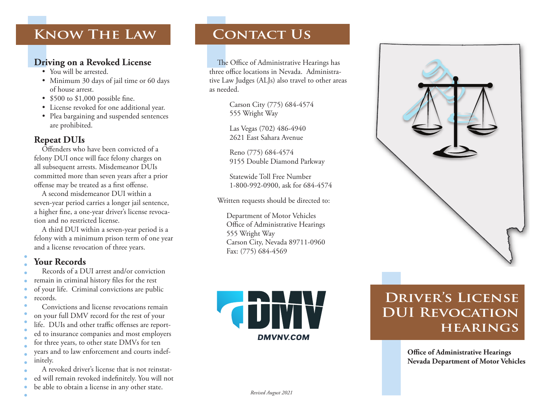# **Know The Law**

## **Driving on a Revoked License**

- You will be arrested.
- Minimum 30 days of jail time or 60 days of house arrest.
- $\cdot$  \$500 to \$1,000 possible fine.
- License revoked for one additional year.
- Plea bargaining and suspended sentences are prohibited.

### **Repeat DUIs**

Offenders who have been convicted of a felony DUI once will face felony charges on all subsequent arrests. Misdemeanor DUIs committed more than seven years after a prior offense may be treated as a first offense.

A second misdemeanor DUI within a seven-year period carries a longer jail sentence, a higher fine, a one-year driver's license revocation and no restricted license.

A third DUI within a seven-year period is a felony with a minimum prison term of one year and a license revocation of three years.

## **Your Records**

 $\bullet$ 

- Records of a DUI arrest and/or conviction
- remain in criminal history files for the rest
- of your life. Criminal convictions are public  $\bullet$ records.
- Convictions and license revocations remain
- on your full DMV record for the rest of your
- life. DUIs and other traffic offenses are report-
- ed to insurance companies and most employers
- for three years, to other state DMVs for ten years and to law enforcement and courts indefinitely.
- A revoked driver's license that is not reinstated will remain revoked indefinitely. You will not
- be able to obtain a license in any other state.  $\bullet$

## **Contact Us**

The Office of Administrative Hearings has three office locations in Nevada. Administrative Law Judges (ALJs) also travel to other areas as needed.

> Carson City (775) 684-4574 555 Wright Way

Las Vegas (702) 486-4940 2621 East Sahara Avenue

Reno (775) 684-4574 9155 Double Diamond Parkway

Statewide Toll Free Number 1-800-992-0900, ask for 684-4574

Written requests should be directed to:

Department of Motor Vehicles Office of Administrative Hearings 555 Wright Way Carson City, Nevada 89711-0960 Fax: (775) 684-4569



# **Driver's License DUI Revocation hearings**

**Office of Administrative Hearings Nevada Department of Motor Vehicles**